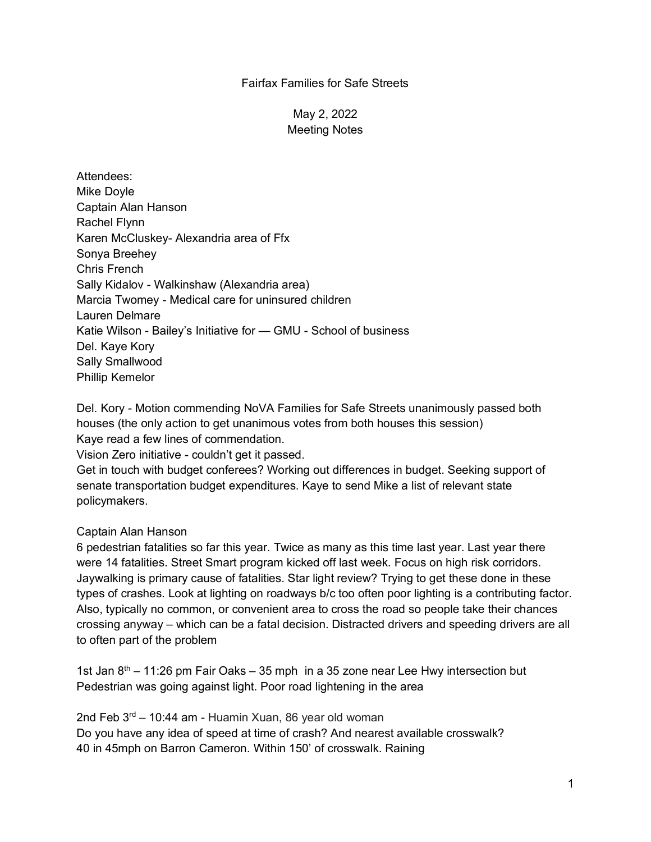## Fairfax Families for Safe Streets

May 2, 2022 Meeting Notes

Attendees: Mike Doyle Captain Alan Hanson Rachel Flynn Karen McCluskey- Alexandria area of Ffx Sonya Breehey Chris French Sally Kidalov - Walkinshaw (Alexandria area) Marcia Twomey - Medical care for uninsured children Lauren Delmare Katie Wilson - Bailey's Initiative for — GMU - School of business Del. Kaye Kory Sally Smallwood Phillip Kemelor

Del. Kory - Motion commending NoVA Families for Safe Streets unanimously passed both houses (the only action to get unanimous votes from both houses this session) Kaye read a few lines of commendation.

Vision Zero initiative - couldn't get it passed.

Get in touch with budget conferees? Working out differences in budget. Seeking support of senate transportation budget expenditures. Kaye to send Mike a list of relevant state policymakers.

## Captain Alan Hanson

6 pedestrian fatalities so far this year. Twice as many as this time last year. Last year there were 14 fatalities. Street Smart program kicked off last week. Focus on high risk corridors. Jaywalking is primary cause of fatalities. Star light review? Trying to get these done in these types of crashes. Look at lighting on roadways b/c too often poor lighting is a contributing factor. Also, typically no common, or convenient area to cross the road so people take their chances crossing anyway – which can be a fatal decision. Distracted drivers and speeding drivers are all to often part of the problem

1st Jan  $8<sup>th</sup> - 11:26$  pm Fair Oaks – 35 mph in a 35 zone near Lee Hwy intersection but Pedestrian was going against light. Poor road lightening in the area

2nd Feb  $3^{rd}$  – 10:44 am - Huamin Xuan, 86 year old woman Do you have any idea of speed at time of crash? And nearest available crosswalk? 40 in 45mph on Barron Cameron. Within 150' of crosswalk. Raining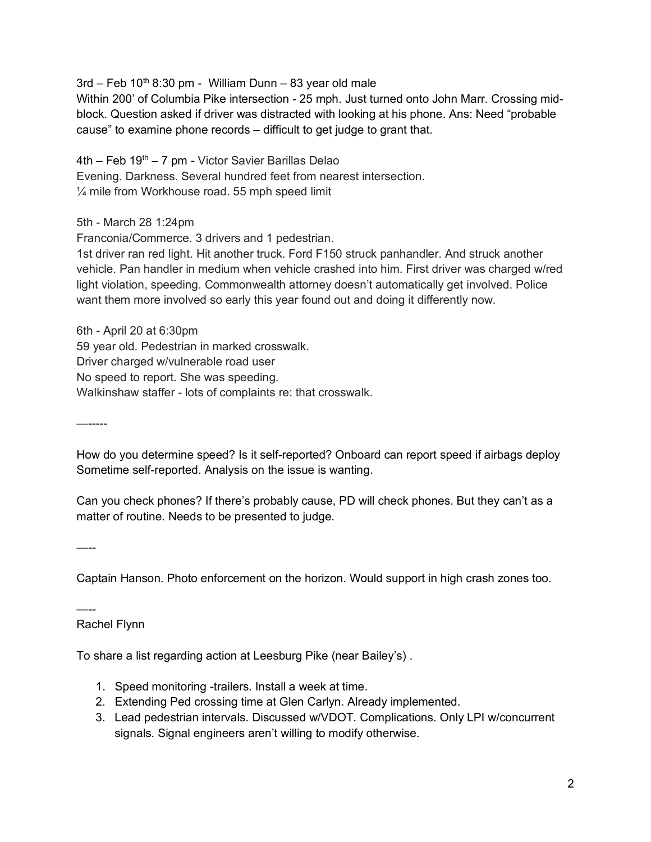$3rd$  – Feb  $10<sup>th</sup>$  8:30 pm - William Dunn – 83 year old male

Within 200' of Columbia Pike intersection - 25 mph. Just turned onto John Marr. Crossing midblock. Question asked if driver was distracted with looking at his phone. Ans: Need "probable cause" to examine phone records – difficult to get judge to grant that.

 $4th$  – Feb  $19<sup>th</sup>$  – 7 pm - Victor Savier Barillas Delao Evening. Darkness. Several hundred feet from nearest intersection.  $\frac{1}{4}$  mile from Workhouse road. 55 mph speed limit

5th - March 28 1:24pm

Franconia/Commerce. 3 drivers and 1 pedestrian.

1st driver ran red light. Hit another truck. Ford F150 struck panhandler. And struck another vehicle. Pan handler in medium when vehicle crashed into him. First driver was charged w/red light violation, speeding. Commonwealth attorney doesn't automatically get involved. Police want them more involved so early this year found out and doing it differently now.

6th - April 20 at 6:30pm 59 year old. Pedestrian in marked crosswalk. Driver charged w/vulnerable road user No speed to report. She was speeding. Walkinshaw staffer - lots of complaints re: that crosswalk.

—-----

How do you determine speed? Is it self-reported? Onboard can report speed if airbags deploy Sometime self-reported. Analysis on the issue is wanting.

Can you check phones? If there's probably cause, PD will check phones. But they can't as a matter of routine. Needs to be presented to judge.

—--

Captain Hanson. Photo enforcement on the horizon. Would support in high crash zones too.

—-- Rachel Flynn

To share a list regarding action at Leesburg Pike (near Bailey's) .

- 1. Speed monitoring -trailers. Install a week at time.
- 2. Extending Ped crossing time at Glen Carlyn. Already implemented.
- 3. Lead pedestrian intervals. Discussed w/VDOT. Complications. Only LPI w/concurrent signals. Signal engineers aren't willing to modify otherwise.